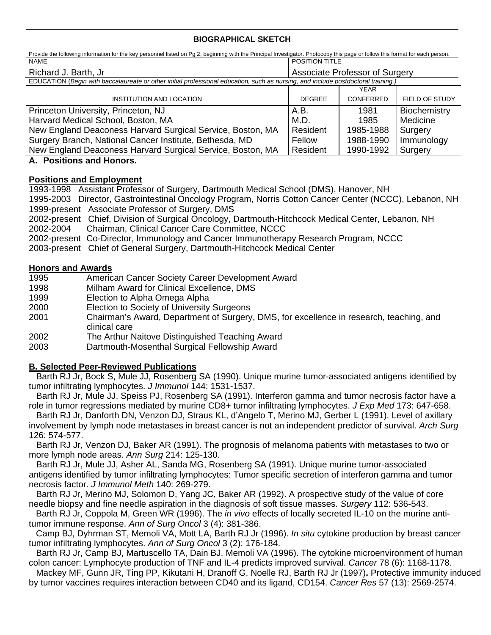## **BIOGRAPHICAL SKETCH**

| Provide the following information for the key personnel listed on Pg 2, beginning with the Principal Investigator. Photocopy this page or follow this format for each person. |                                |             |                |
|-------------------------------------------------------------------------------------------------------------------------------------------------------------------------------|--------------------------------|-------------|----------------|
| <b>NAME</b>                                                                                                                                                                   | <b>POSITION TITLE</b>          |             |                |
| Richard J. Barth, Jr.                                                                                                                                                         | Associate Professor of Surgery |             |                |
| EDUCATION (Begin with baccalaureate or other initial professional education, such as nursing, and include postdoctoral training.)                                             |                                |             |                |
|                                                                                                                                                                               |                                | <b>YEAR</b> |                |
| INSTITUTION AND LOCATION                                                                                                                                                      | <b>DEGREE</b>                  | CONFERRED   | FIELD OF STUDY |
| Princeton University, Princeton, NJ                                                                                                                                           | A.B.                           | 1981        | Biochemistry   |
| Harvard Medical School, Boston, MA                                                                                                                                            | M.D.                           | 1985        | Medicine       |
| New England Deaconess Harvard Surgical Service, Boston, MA                                                                                                                    | Resident                       | 1985-1988   | Surgery        |
| Surgery Branch, National Cancer Institute, Bethesda, MD                                                                                                                       | Fellow                         | 1988-1990   | Immunology     |
| New England Deaconess Harvard Surgical Service, Boston, MA                                                                                                                    | Resident                       | 1990-1992   | Surgery        |
| A Decitions and Hanars                                                                                                                                                        |                                |             |                |

## **A. Positions and Honors.**

## **Positions and Employment**

1993-1998 Assistant Professor of Surgery, Dartmouth Medical School (DMS), Hanover, NH 1995-2003 Director, Gastrointestinal Oncology Program, Norris Cotton Cancer Center (NCCC), Lebanon, NH 1999-present Associate Professor of Surgery, DMS

2002-present Chief, Division of Surgical Oncology, Dartmouth-Hitchcock Medical Center, Lebanon, NH 2002-2004 Chairman, Clinical Cancer Care Committee, NCCC

2002-present Co-Director, Immunology and Cancer Immunotherapy Research Program, NCCC

2003-present Chief of General Surgery, Dartmouth-Hitchcock Medical Center

## **Honors and Awards**

- 1995 American Cancer Society Career Development Award
- 1998 Milham Award for Clinical Excellence, DMS
- 1999 Election to Alpha Omega Alpha
- 2000 Election to Society of University Surgeons
- 2001 Chairman's Award, Department of Surgery, DMS, for excellence in research, teaching, and clinical care
- 2002 The Arthur Naitove Distinguished Teaching Award
- 2003 Dartmouth-Mosenthal Surgical Fellowship Award

# **B. Selected Peer-Reviewed Publications**

 Barth RJ Jr, Bock S, Mule JJ, Rosenberg SA (1990). Unique murine tumor-associated antigens identified by tumor infiltrating lymphocytes. *J Immunol* 144: 1531-1537.

Barth RJ Jr, Mule JJ, Speiss PJ, Rosenberg SA (1991). Interferon gamma and tumor necrosis factor have a role in tumor regressions mediated by murine CD8+ tumor infiltrating lymphocytes. *J Exp Med* 173: 647-658.

Barth RJ Jr, Danforth DN, Venzon DJ, Straus KL, d'Angelo T, Merino MJ, Gerber L (1991). Level of axillary involvement by lymph node metastases in breast cancer is not an independent predictor of survival. *Arch Surg*  126: 574-577.

Barth RJ Jr, Venzon DJ, Baker AR (1991). The prognosis of melanoma patients with metastases to two or more lymph node areas. *Ann Surg* 214: 125-130.

Barth RJ Jr, Mule JJ, Asher AL, Sanda MG, Rosenberg SA (1991). Unique murine tumor-associated antigens identified by tumor infiltrating lymphocytes: Tumor specific secretion of interferon gamma and tumor necrosis factor. *J Immunol Meth* 140: 269-279.

Barth RJ Jr, Merino MJ, Solomon D, Yang JC, Baker AR (1992). A prospective study of the value of core needle biopsy and fine needle aspiration in the diagnosis of soft tissue masses. *Surgery* 112: 536-543.

Barth RJ Jr, Coppola M, Green WR (1996). The *in vivo* effects of locally secreted IL-10 on the murine antitumor immune response. *Ann of Surg Oncol* 3 (4): 381-386.

Camp BJ, Dyhrman ST, Memoli VA, Mott LA, Barth RJ Jr (1996). *In situ* cytokine production by breast cancer tumor infiltrating lymphocytes. *Ann of Surg Oncol* 3 (2): 176-184.

Barth RJ Jr, Camp BJ, Martuscello TA, Dain BJ, Memoli VA (1996). The cytokine microenvironment of human colon cancer: Lymphocyte production of TNF and IL-4 predicts improved survival. *Cancer* 78 (6): 1168-1178.

Mackey MF, Gunn JR, Ting PP, Kikutani H, Dranoff G, Noelle RJ, Barth RJ Jr (1997)**.** Protective immunity induced by tumor vaccines requires interaction between CD40 and its ligand, CD154. *Cancer Res* 57 (13): 2569-2574.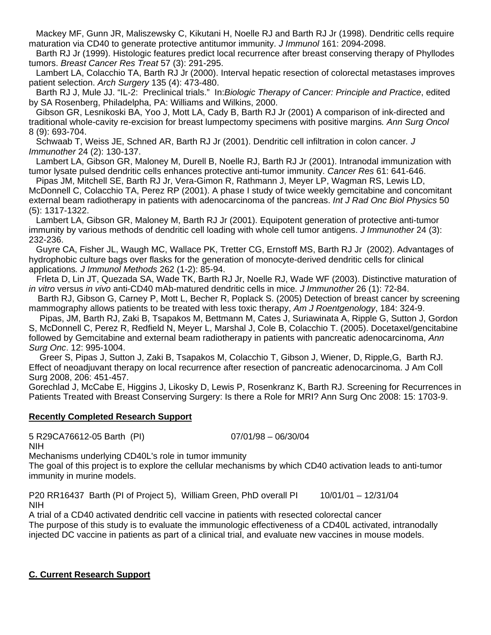Mackey MF, Gunn JR, Maliszewsky C, Kikutani H, Noelle RJ and Barth RJ Jr (1998). Dendritic cells require maturation via CD40 to generate protective antitumor immunity. *J Immunol* 161: 2094-2098.

Barth RJ Jr (1999). Histologic features predict local recurrence after breast conserving therapy of Phyllodes tumors. *Breast Cancer Res Treat* 57 (3): 291-295.

Lambert LA, Colacchio TA, Barth RJ Jr (2000). Interval hepatic resection of colorectal metastases improves patient selection. *Arch Surgery* 135 (4): 473-480.

Barth RJ J, Mule JJ. "IL-2: Preclinical trials." In:*Biologic Therapy of Cancer: Principle and Practice*, edited by SA Rosenberg, Philadelpha, PA: Williams and Wilkins, 2000.

Gibson GR, Lesnikoski BA, Yoo J, Mott LA, Cady B, Barth RJ Jr (2001) A comparison of ink-directed and traditional whole-cavity re-excision for breast lumpectomy specimens with positive margins*. Ann Surg Oncol*  8 (9): 693-704.

Schwaab T, Weiss JE, Schned AR, Barth RJ Jr (2001). Dendritic cell infiltration in colon cancer*. J Immunother* 24 (2): 130-137.

Lambert LA, Gibson GR, Maloney M, Durell B, Noelle RJ, Barth RJ Jr (2001). Intranodal immunization with tumor lysate pulsed dendritic cells enhances protective anti-tumor immunity. *Cancer Res* 61: 641-646.

Pipas JM, Mitchell SE, Barth RJ Jr, Vera-Gimon R, Rathmann J, Meyer LP, Wagman RS, Lewis LD, McDonnell C, Colacchio TA, Perez RP (2001). A phase I study of twice weekly gemcitabine and concomitant external beam radiotherapy in patients with adenocarcinoma of the pancreas. *Int J Rad Onc Biol Physics* 50 (5): 1317-1322.

Lambert LA, Gibson GR, Maloney M, Barth RJ Jr (2001). Equipotent generation of protective anti-tumor immunity by various methods of dendritic cell loading with whole cell tumor antigens. *J Immunother* 24 (3): 232-236.

Guyre CA, Fisher JL, Waugh MC, Wallace PK, Tretter CG, Ernstoff MS, Barth RJ Jr (2002). Advantages of hydrophobic culture bags over flasks for the generation of monocyte-derived dendritic cells for clinical applications*. J Immunol Methods* 262 (1-2): 85-94.

Frleta D, Lin JT, Quezada SA, Wade TK, Barth RJ Jr, Noelle RJ, Wade WF (2003). Distinctive maturation of *in vitro* versus *in vivo* anti-CD40 mAb-matured dendritic cells in mice*. J Immunother* 26 (1): 72-84.

 Barth RJ, Gibson G, Carney P, Mott L, Becher R, Poplack S. (2005) Detection of breast cancer by screening mammography allows patients to be treated with less toxic therapy, *Am J Roentgenology*, 184: 324-9.

Pipas, JM, Barth RJ, Zaki B, Tsapakos M, Bettmann M, Cates J, Suriawinata A, Ripple G, Sutton J, Gordon S, McDonnell C, Perez R, Redfield N, Meyer L, Marshal J, Cole B, Colacchio T. (2005). Docetaxel/gencitabine followed by Gemcitabine and external beam radiotherapy in patients with pancreatic adenocarcinoma, *Ann Surg Onc*. 12: 995-1004.

Greer S, Pipas J, Sutton J, Zaki B, Tsapakos M, Colacchio T, Gibson J, Wiener, D, Ripple,G, Barth RJ. Effect of neoadjuvant therapy on local recurrence after resection of pancreatic adenocarcinoma. J Am Coll Surg 2008, 206: 451-457.

Gorechlad J, McCabe E, Higgins J, Likosky D, Lewis P, Rosenkranz K, Barth RJ. Screening for Recurrences in Patients Treated with Breast Conserving Surgery: Is there a Role for MRI? Ann Surg Onc 2008: 15: 1703-9.

#### **Recently Completed Research Support**

5 R29CA76612-05 Barth (PI) 07/01/98 – 06/30/04 NIH

Mechanisms underlying CD40L's role in tumor immunity

The goal of this project is to explore the cellular mechanisms by which CD40 activation leads to anti-tumor immunity in murine models.

P20 RR16437 Barth (PI of Project 5), William Green, PhD overall PI 10/01/01 – 12/31/04 NIH

A trial of a CD40 activated dendritic cell vaccine in patients with resected colorectal cancer The purpose of this study is to evaluate the immunologic effectiveness of a CD40L activated, intranodally injected DC vaccine in patients as part of a clinical trial, and evaluate new vaccines in mouse models.

## **C. Current Research Support**